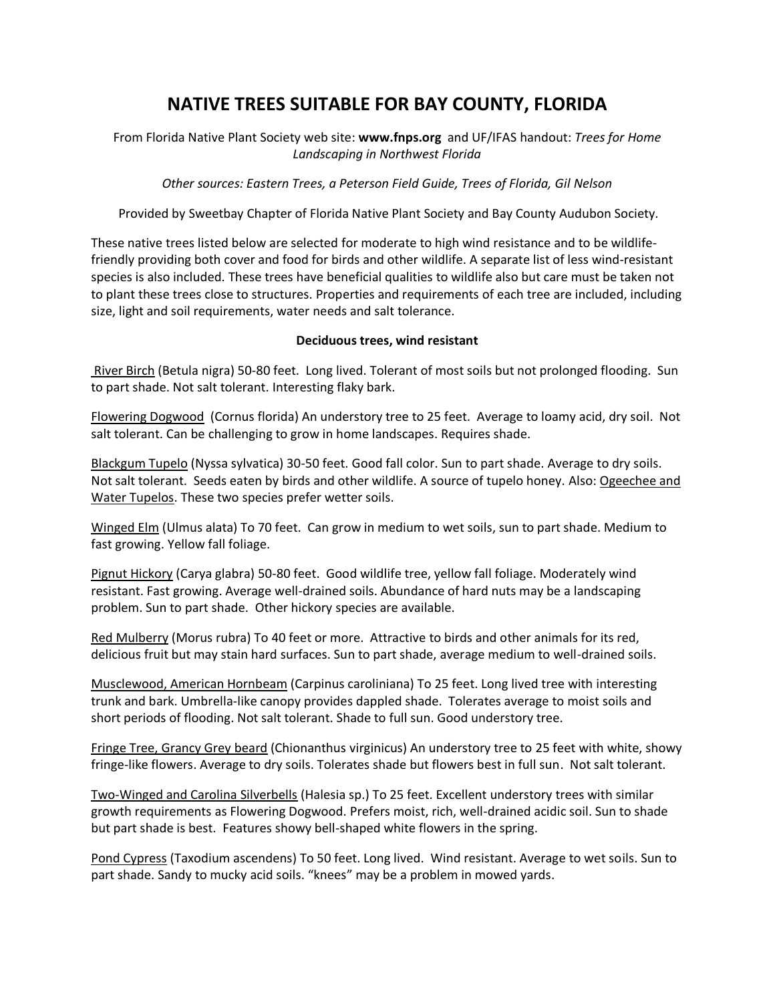# **NATIVE TREES SUITABLE FOR BAY COUNTY, FLORIDA**

From Florida Native Plant Society web site: **www.fnps.org** and UF/IFAS handout: *Trees for Home Landscaping in Northwest Florida*

*Other sources: Eastern Trees, a Peterson Field Guide, Trees of Florida, Gil Nelson*

Provided by Sweetbay Chapter of Florida Native Plant Society and Bay County Audubon Society.

These native trees listed below are selected for moderate to high wind resistance and to be wildlifefriendly providing both cover and food for birds and other wildlife. A separate list of less wind-resistant species is also included. These trees have beneficial qualities to wildlife also but care must be taken not to plant these trees close to structures. Properties and requirements of each tree are included, including size, light and soil requirements, water needs and salt tolerance.

## **Deciduous trees, wind resistant**

River Birch (Betula nigra) 50-80 feet. Long lived. Tolerant of most soils but not prolonged flooding. Sun to part shade. Not salt tolerant. Interesting flaky bark.

Flowering Dogwood (Cornus florida) An understory tree to 25 feet. Average to loamy acid, dry soil. Not salt tolerant. Can be challenging to grow in home landscapes. Requires shade.

Blackgum Tupelo (Nyssa sylvatica) 30-50 feet. Good fall color. Sun to part shade. Average to dry soils. Not salt tolerant. Seeds eaten by birds and other wildlife. A source of tupelo honey. Also: Ogeechee and Water Tupelos. These two species prefer wetter soils.

Winged Elm (Ulmus alata) To 70 feet. Can grow in medium to wet soils, sun to part shade. Medium to fast growing. Yellow fall foliage.

Pignut Hickory (Carya glabra) 50-80 feet. Good wildlife tree, yellow fall foliage. Moderately wind resistant. Fast growing. Average well-drained soils. Abundance of hard nuts may be a landscaping problem. Sun to part shade. Other hickory species are available.

Red Mulberry (Morus rubra) To 40 feet or more. Attractive to birds and other animals for its red, delicious fruit but may stain hard surfaces. Sun to part shade, average medium to well-drained soils.

Musclewood, American Hornbeam (Carpinus caroliniana) To 25 feet. Long lived tree with interesting trunk and bark. Umbrella-like canopy provides dappled shade. Tolerates average to moist soils and short periods of flooding. Not salt tolerant. Shade to full sun. Good understory tree.

Fringe Tree, Grancy Grey beard (Chionanthus virginicus) An understory tree to 25 feet with white, showy fringe-like flowers. Average to dry soils. Tolerates shade but flowers best in full sun. Not salt tolerant.

Two-Winged and Carolina Silverbells (Halesia sp.) To 25 feet. Excellent understory trees with similar growth requirements as Flowering Dogwood. Prefers moist, rich, well-drained acidic soil. Sun to shade but part shade is best. Features showy bell-shaped white flowers in the spring.

Pond Cypress (Taxodium ascendens) To 50 feet. Long lived. Wind resistant. Average to wet soils. Sun to part shade. Sandy to mucky acid soils. "knees" may be a problem in mowed yards.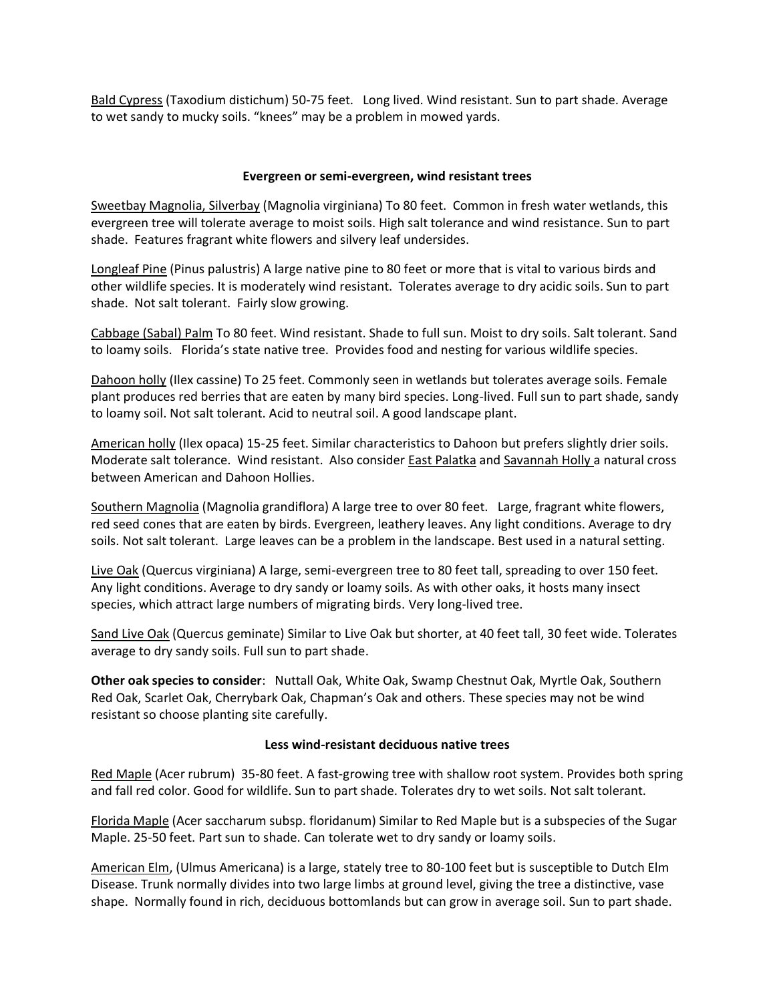Bald Cypress (Taxodium distichum) 50-75 feet. Long lived. Wind resistant. Sun to part shade. Average to wet sandy to mucky soils. "knees" may be a problem in mowed yards.

## **Evergreen or semi-evergreen, wind resistant trees**

Sweetbay Magnolia, Silverbay (Magnolia virginiana) To 80 feet. Common in fresh water wetlands, this evergreen tree will tolerate average to moist soils. High salt tolerance and wind resistance. Sun to part shade. Features fragrant white flowers and silvery leaf undersides.

Longleaf Pine (Pinus palustris) A large native pine to 80 feet or more that is vital to various birds and other wildlife species. It is moderately wind resistant. Tolerates average to dry acidic soils. Sun to part shade. Not salt tolerant. Fairly slow growing.

Cabbage (Sabal) Palm To 80 feet. Wind resistant. Shade to full sun. Moist to dry soils. Salt tolerant. Sand to loamy soils. Florida's state native tree. Provides food and nesting for various wildlife species.

Dahoon holly (Ilex cassine) To 25 feet. Commonly seen in wetlands but tolerates average soils. Female plant produces red berries that are eaten by many bird species. Long-lived. Full sun to part shade, sandy to loamy soil. Not salt tolerant. Acid to neutral soil. A good landscape plant.

American holly (Ilex opaca) 15-25 feet. Similar characteristics to Dahoon but prefers slightly drier soils. Moderate salt tolerance. Wind resistant. Also consider **East Palatka and Savannah Holly** a natural cross between American and Dahoon Hollies.

Southern Magnolia (Magnolia grandiflora) A large tree to over 80 feet. Large, fragrant white flowers, red seed cones that are eaten by birds. Evergreen, leathery leaves. Any light conditions. Average to dry soils. Not salt tolerant. Large leaves can be a problem in the landscape. Best used in a natural setting.

Live Oak (Quercus virginiana) A large, semi-evergreen tree to 80 feet tall, spreading to over 150 feet. Any light conditions. Average to dry sandy or loamy soils. As with other oaks, it hosts many insect species, which attract large numbers of migrating birds. Very long-lived tree.

Sand Live Oak (Quercus geminate) Similar to Live Oak but shorter, at 40 feet tall, 30 feet wide. Tolerates average to dry sandy soils. Full sun to part shade.

**Other oak species to consider**: Nuttall Oak, White Oak, Swamp Chestnut Oak, Myrtle Oak, Southern Red Oak, Scarlet Oak, Cherrybark Oak, Chapman's Oak and others. These species may not be wind resistant so choose planting site carefully.

### **Less wind-resistant deciduous native trees**

Red Maple (Acer rubrum) 35-80 feet. A fast-growing tree with shallow root system. Provides both spring and fall red color. Good for wildlife. Sun to part shade. Tolerates dry to wet soils. Not salt tolerant.

Florida Maple (Acer saccharum subsp. floridanum) Similar to Red Maple but is a subspecies of the Sugar Maple. 25-50 feet. Part sun to shade. Can tolerate wet to dry sandy or loamy soils.

American Elm, (Ulmus Americana) is a large, stately tree to 80-100 feet but is susceptible to Dutch Elm Disease. Trunk normally divides into two large limbs at ground level, giving the tree a distinctive, vase shape. Normally found in rich, deciduous bottomlands but can grow in average soil. Sun to part shade.